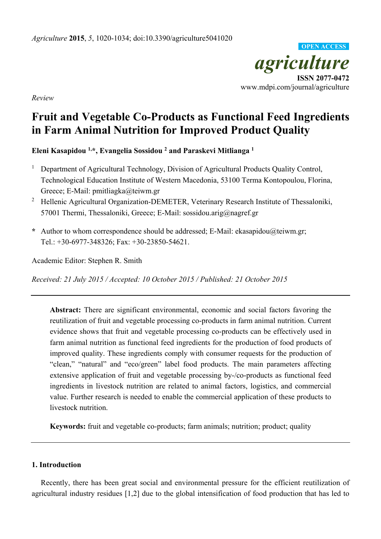*agriculture*  **ISSN 2077-0472**  www.mdpi.com/journal/agriculture **OPEN ACCESS**

*Review* 

# **Fruit and Vegetable Co-Products as Functional Feed Ingredients in Farm Animal Nutrition for Improved Product Quality**

**Eleni Kasapidou 1,\*, Evangelia Sossidou 2 and Paraskevi Mitlianga 1**

- 1 Department of Agricultural Technology, Division of Agricultural Products Quality Control, Technological Education Institute of Western Macedonia, 53100 Terma Kontopoulou, Florina, Greece; E-Mail: pmitliagka@teiwm.gr
- 2 Hellenic Agricultural Organization-DEMETER, Veterinary Research Institute of Thessaloniki, 57001 Thermi, Thessaloniki, Greece; E-Mail: sossidou.arig@nagref.gr
- **\*** Author to whom correspondence should be addressed; E-Mail: ekasapidou@teiwm.gr; Tel.: +30-6977-348326; Fax: +30-23850-54621.

Academic Editor: Stephen R. Smith

*Received: 21 July 2015 / Accepted: 10 October 2015 / Published: 21 October 2015* 

**Abstract:** There are significant environmental, economic and social factors favoring the reutilization of fruit and vegetable processing co-products in farm animal nutrition. Current evidence shows that fruit and vegetable processing co-products can be effectively used in farm animal nutrition as functional feed ingredients for the production of food products of improved quality. These ingredients comply with consumer requests for the production of "clean," "natural" and "eco/green" label food products. The main parameters affecting extensive application of fruit and vegetable processing by-/co-products as functional feed ingredients in livestock nutrition are related to animal factors, logistics, and commercial value. Further research is needed to enable the commercial application of these products to livestock nutrition.

**Keywords:** fruit and vegetable co-products; farm animals; nutrition; product; quality

## **1. Introduction**

Recently, there has been great social and environmental pressure for the efficient reutilization of agricultural industry residues [1,2] due to the global intensification of food production that has led to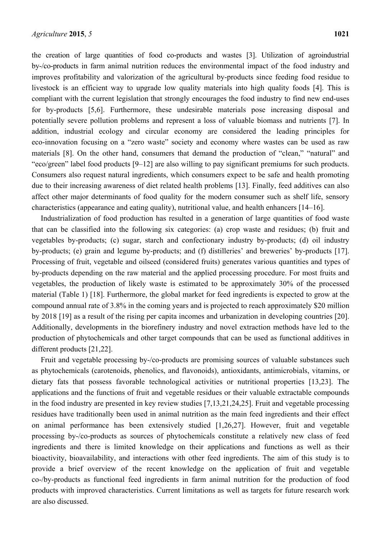the creation of large quantities of food co-products and wastes [3]. Utilization of agroindustrial by-/co-products in farm animal nutrition reduces the environmental impact of the food industry and improves profitability and valorization of the agricultural by-products since feeding food residue to livestock is an efficient way to upgrade low quality materials into high quality foods [4]. This is compliant with the current legislation that strongly encourages the food industry to find new end-uses for by-products [5,6]. Furthermore, these undesirable materials pose increasing disposal and potentially severe pollution problems and represent a loss of valuable biomass and nutrients [7]. In addition, industrial ecology and circular economy are considered the leading principles for eco-innovation focusing on a "zero waste" society and economy where wastes can be used as raw materials [8]. On the other hand, consumers that demand the production of "clean," "natural" and "eco/green" label food products [9–12] are also willing to pay significant premiums for such products. Consumers also request natural ingredients, which consumers expect to be safe and health promoting due to their increasing awareness of diet related health problems [13]. Finally, feed additives can also affect other major determinants of food quality for the modern consumer such as shelf life, sensory characteristics (appearance and eating quality), nutritional value, and health enhancers [14–16].

Industrialization of food production has resulted in a generation of large quantities of food waste that can be classified into the following six categories: (a) crop waste and residues; (b) fruit and vegetables by-products; (c) sugar, starch and confectionary industry by-products; (d) oil industry by-products; (e) grain and legume by-products; and (f) distilleries' and breweries' by-products [17]. Processing of fruit, vegetable and oilseed (considered fruits) generates various quantities and types of by-products depending on the raw material and the applied processing procedure. For most fruits and vegetables, the production of likely waste is estimated to be approximately 30% of the processed material (Table 1) [18]. Furthermore, the global market for feed ingredients is expected to grow at the compound annual rate of 3.8% in the coming years and is projected to reach approximately \$20 million by 2018 [19] as a result of the rising per capita incomes and urbanization in developing countries [20]. Additionally, developments in the biorefinery industry and novel extraction methods have led to the production of phytochemicals and other target compounds that can be used as functional additives in different products [21,22].

Fruit and vegetable processing by-/co-products are promising sources of valuable substances such as phytochemicals (carotenoids, phenolics, and flavonoids), antioxidants, antimicrobials, vitamins, or dietary fats that possess favorable technological activities or nutritional properties [13,23]. The applications and the functions of fruit and vegetable residues or their valuable extractable compounds in the food industry are presented in key review studies [7,13,21,24,25]. Fruit and vegetable processing residues have traditionally been used in animal nutrition as the main feed ingredients and their effect on animal performance has been extensively studied [1,26,27]. However, fruit and vegetable processing by-/co-products as sources of phytochemicals constitute a relatively new class of feed ingredients and there is limited knowledge on their applications and functions as well as their bioactivity, bioavailability, and interactions with other feed ingredients. The aim of this study is to provide a brief overview of the recent knowledge on the application of fruit and vegetable co-/by-products as functional feed ingredients in farm animal nutrition for the production of food products with improved characteristics. Current limitations as well as targets for future research work are also discussed.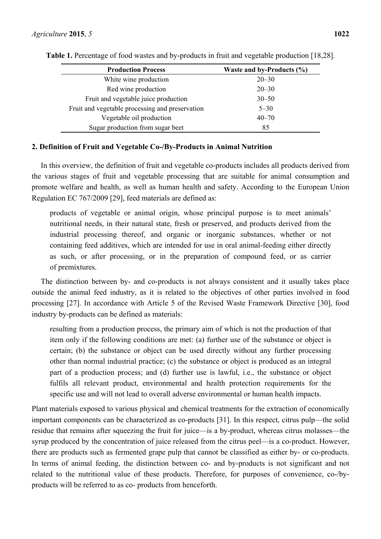| <b>Production Process</b>                       | Waste and by-Products $(\% )$ |
|-------------------------------------------------|-------------------------------|
| White wine production                           | $20 - 30$                     |
| Red wine production                             | $20 - 30$                     |
| Fruit and vegetable juice production            | $30 - 50$                     |
| Fruit and vegetable processing and preservation | $5 - 30$                      |
| Vegetable oil production                        | $40 - 70$                     |
| Sugar production from sugar beet                | 85                            |

**Table 1.** Percentage of food wastes and by-products in fruit and vegetable production [18,28].

## **2. Definition of Fruit and Vegetable Co-/By-Products in Animal Nutrition**

In this overview, the definition of fruit and vegetable co-products includes all products derived from the various stages of fruit and vegetable processing that are suitable for animal consumption and promote welfare and health, as well as human health and safety. According to the European Union Regulation EC 767/2009 [29], feed materials are defined as:

products of vegetable or animal origin, whose principal purpose is to meet animals' nutritional needs, in their natural state, fresh or preserved, and products derived from the industrial processing thereof, and organic or inorganic substances, whether or not containing feed additives, which are intended for use in oral animal-feeding either directly as such, or after processing, or in the preparation of compound feed, or as carrier of premixtures.

The distinction between by- and co-products is not always consistent and it usually takes place outside the animal feed industry, as it is related to the objectives of other parties involved in food processing [27]. In accordance with Article 5 of the Revised Waste Framework Directive [30], food industry by-products can be defined as materials:

resulting from a production process, the primary aim of which is not the production of that item only if the following conditions are met: (a) further use of the substance or object is certain; (b) the substance or object can be used directly without any further processing other than normal industrial practice; (c) the substance or object is produced as an integral part of a production process; and (d) further use is lawful, i.e., the substance or object fulfils all relevant product, environmental and health protection requirements for the specific use and will not lead to overall adverse environmental or human health impacts.

Plant materials exposed to various physical and chemical treatments for the extraction of economically important components can be characterized as co-products [31]. In this respect, citrus pulp—the solid residue that remains after squeezing the fruit for juice—is a by-product, whereas citrus molasses—the syrup produced by the concentration of juice released from the citrus peel—is a co-product. However, there are products such as fermented grape pulp that cannot be classified as either by- or co-products. In terms of animal feeding, the distinction between co- and by-products is not significant and not related to the nutritional value of these products. Therefore, for purposes of convenience, co-/byproducts will be referred to as co- products from henceforth.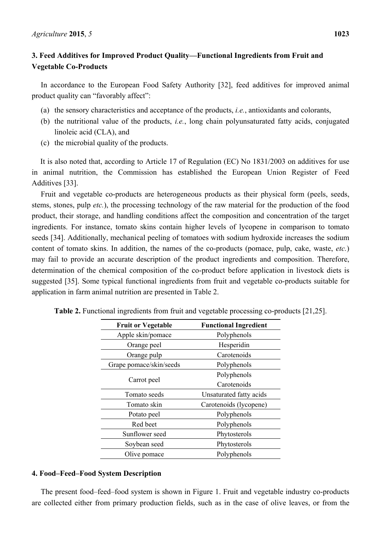In accordance to the European Food Safety Authority [32], feed additives for improved animal product quality can "favorably affect":

- (a) the sensory characteristics and acceptance of the products, *i.e.*, antioxidants and colorants,
- (b) the nutritional value of the products, *i.e.*, long chain polyunsaturated fatty acids, conjugated linoleic acid (CLA), and
- (c) the microbial quality of the products.

It is also noted that, according to Article 17 of Regulation (EC) No 1831/2003 on additives for use in animal nutrition, the Commission has established the European Union Register of Feed Additives [33].

Fruit and vegetable co-products are heterogeneous products as their physical form (peels, seeds, stems, stones, pulp *etc.*), the processing technology of the raw material for the production of the food product, their storage, and handling conditions affect the composition and concentration of the target ingredients. For instance, tomato skins contain higher levels of lycopene in comparison to tomato seeds [34]. Additionally, mechanical peeling of tomatoes with sodium hydroxide increases the sodium content of tomato skins. In addition, the names of the co-products (pomace, pulp, cake, waste, *etc.*) may fail to provide an accurate description of the product ingredients and composition. Therefore, determination of the chemical composition of the co-product before application in livestock diets is suggested [35]. Some typical functional ingredients from fruit and vegetable co-products suitable for application in farm animal nutrition are presented in Table 2.

| <b>Fruit or Vegetable</b> | <b>Functional Ingredient</b> |
|---------------------------|------------------------------|
| Apple skin/pomace         | Polyphenols                  |
| Orange peel               | Hesperidin                   |
| Orange pulp               | Carotenoids                  |
| Grape pomace/skin/seeds   | Polyphenols                  |
| Carrot peel               | Polyphenols                  |
|                           | Carotenoids                  |
| Tomato seeds              | Unsaturated fatty acids      |
| Tomato skin               | Carotenoids (lycopene)       |
| Potato peel               | Polyphenols                  |
| Red beet                  | Polyphenols                  |
| Sunflower seed            | Phytosterols                 |
| Soybean seed              | Phytosterols                 |
| Olive pomace              | Polyphenols                  |

**Table 2.** Functional ingredients from fruit and vegetable processing co-products [21,25].

## **4. Food–Feed–Food System Description**

The present food–feed–food system is shown in Figure 1. Fruit and vegetable industry co-products are collected either from primary production fields, such as in the case of olive leaves, or from the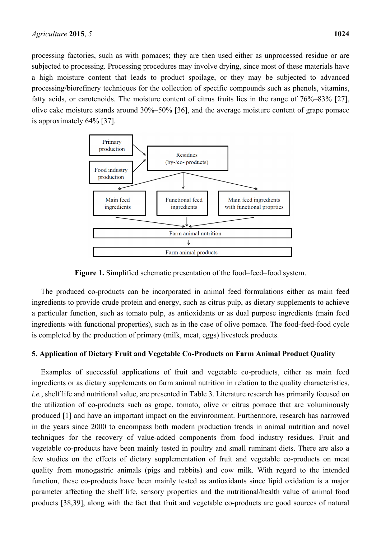processing factories, such as with pomaces; they are then used either as unprocessed residue or are subjected to processing. Processing procedures may involve drying, since most of these materials have a high moisture content that leads to product spoilage, or they may be subjected to advanced processing/biorefinery techniques for the collection of specific compounds such as phenols, vitamins, fatty acids, or carotenoids. The moisture content of citrus fruits lies in the range of 76%–83% [27], olive cake moisture stands around 30%–50% [36], and the average moisture content of grape pomace is approximately 64% [37].



**Figure 1.** Simplified schematic presentation of the food–feed–food system.

The produced co-products can be incorporated in animal feed formulations either as main feed ingredients to provide crude protein and energy, such as citrus pulp, as dietary supplements to achieve a particular function, such as tomato pulp, as antioxidants or as dual purpose ingredients (main feed ingredients with functional properties), such as in the case of olive pomace. The food-feed-food cycle is completed by the production of primary (milk, meat, eggs) livestock products.

#### **5. Application of Dietary Fruit and Vegetable Co-Products on Farm Animal Product Quality**

Examples of successful applications of fruit and vegetable co-products, either as main feed ingredients or as dietary supplements on farm animal nutrition in relation to the quality characteristics, *i.e.*, shelf life and nutritional value, are presented in Table 3. Literature research has primarily focused on the utilization of co-products such as grape, tomato, olive or citrus pomace that are voluminously produced [1] and have an important impact on the envinronment. Furthermore, research has narrowed in the years since 2000 to encompass both modern production trends in animal nutrition and novel techniques for the recovery of value-added components from food industry residues. Fruit and vegetable co-products have been mainly tested in poultry and small ruminant diets. There are also a few studies on the effects of dietary supplementation of fruit and vegetable co-products on meat quality from monogastric animals (pigs and rabbits) and cow milk. With regard to the intended function, these co-products have been mainly tested as antioxidants since lipid oxidation is a major parameter affecting the shelf life, sensory properties and the nutritional/health value of animal food products [38,39], along with the fact that fruit and vegetable co-products are good sources of natural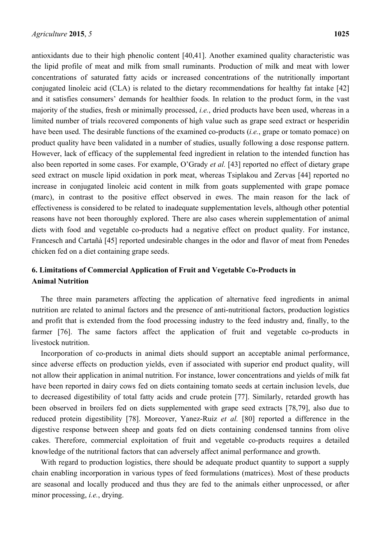antioxidants due to their high phenolic content [40,41]. Another examined quality characteristic was the lipid profile of meat and milk from small ruminants. Production of milk and meat with lower concentrations of saturated fatty acids or increased concentrations of the nutritionally important conjugated linoleic acid (CLA) is related to the dietary recommendations for healthy fat intake [42] and it satisfies consumers' demands for healthier foods. In relation to the product form, in the vast majority of the studies, fresh or minimally processed, *i.e.*, dried products have been used, whereas in a limited number of trials recovered components of high value such as grape seed extract or hesperidin have been used. The desirable functions of the examined co-products (*i.e.*, grape or tomato pomace) on product quality have been validated in a number of studies, usually following a dose response pattern. However, lack of efficacy of the supplemental feed ingredient in relation to the intended function has also been reported in some cases. For example, O'Grady *et al.* [43] reported no effect of dietary grape seed extract on muscle lipid oxidation in pork meat, whereas Tsiplakou and Zervas [44] reported no increase in conjugated linoleic acid content in milk from goats supplemented with grape pomace (marc), in contrast to the positive effect observed in ewes. The main reason for the lack of effectiveness is considered to be related to inadequate supplementation levels, although other potential reasons have not been thoroughly explored. There are also cases wherein supplementation of animal diets with food and vegetable co-products had a negative effect on product quality. For instance, Francesch and Cartañà [45] reported undesirable changes in the odor and flavor of meat from Penedes chicken fed on a diet containing grape seeds.

## **6. Limitations of Commercial Application of Fruit and Vegetable Co-Products in Animal Nutrition**

The three main parameters affecting the application of alternative feed ingredients in animal nutrition are related to animal factors and the presence of anti-nutritional factors, production logistics and profit that is extended from the food processing industry to the feed industry and, finally, to the farmer [76]. The same factors affect the application of fruit and vegetable co-products in livestock nutrition.

Incorporation of co-products in animal diets should support an acceptable animal performance, since adverse effects on production yields, even if associated with superior end product quality, will not allow their application in animal nutrition. For instance, lower concentrations and yields of milk fat have been reported in dairy cows fed on diets containing tomato seeds at certain inclusion levels, due to decreased digestibility of total fatty acids and crude protein [77]. Similarly, retarded growth has been observed in broilers fed on diets supplemented with grape seed extracts [78,79], also due to reduced protein digestibility [78]. Moreover, Yanez-Ruiz *et al.* [80] reported a difference in the digestive response between sheep and goats fed on diets containing condensed tannins from olive cakes. Therefore, commercial exploitation of fruit and vegetable co-products requires a detailed knowledge of the nutritional factors that can adversely affect animal performance and growth.

With regard to production logistics, there should be adequate product quantity to support a supply chain enabling incorporation in various types of feed formulations (matrices). Most of these products are seasonal and locally produced and thus they are fed to the animals either unprocessed, or after minor processing, *i.e.*, drying.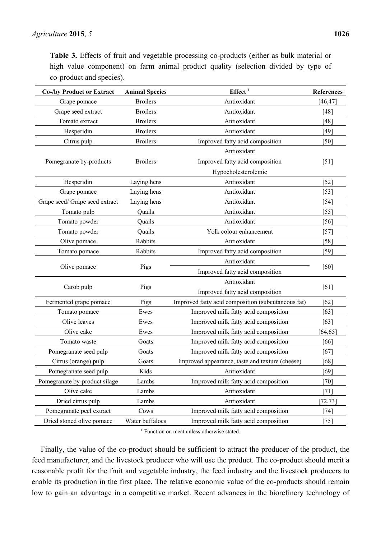**Table 3.** Effects of fruit and vegetable processing co-products (either as bulk material or high value component) on farm animal product quality (selection divided by type of co-product and species).

| <b>Co-/by Product or Extract</b> | <b>Animal Species</b> | Effect <sup>1</sup>                                | <b>References</b> |
|----------------------------------|-----------------------|----------------------------------------------------|-------------------|
| Grape pomace                     | <b>Broilers</b>       | Antioxidant                                        | [46, 47]          |
| Grape seed extract               | <b>Broilers</b>       | Antioxidant                                        | [48]              |
| Tomato extract                   | <b>Broilers</b>       | Antioxidant                                        | [48]              |
| Hesperidin                       | <b>Broilers</b>       | Antioxidant                                        | [49]              |
| Citrus pulp                      | <b>Broilers</b>       | Improved fatty acid composition                    | [50]              |
|                                  | <b>Broilers</b>       | Antioxidant                                        |                   |
| Pomegranate by-products          |                       | Improved fatty acid composition                    | [51]              |
|                                  |                       | Hypocholesterolemic                                |                   |
| Hesperidin                       | Laying hens           | Antioxidant                                        | $[52]$            |
| Grape pomace                     | Laying hens           | Antioxidant                                        | $[53]$            |
| Grape seed/ Grape seed extract   | Laying hens           | Antioxidant                                        | $[54]$            |
| Tomato pulp                      | Quails                | Antioxidant                                        | $[55]$            |
| Tomato powder                    | Quails                | Antioxidant                                        | [56]              |
| Tomato powder                    | Quails                | Yolk colour enhancement                            | $[57]$            |
| Olive pomace                     | Rabbits               | Antioxidant                                        | [58]              |
| Tomato pomace                    | Rabbits               | Improved fatty acid composition                    | $[59]$            |
| Olive pomace                     | Pigs                  | Antioxidant                                        | [60]              |
|                                  |                       | Improved fatty acid composition                    |                   |
|                                  |                       | Antioxidant                                        | [61]              |
| Carob pulp                       | Pigs                  | Improved fatty acid composition                    |                   |
| Fermented grape pomace           | Pigs                  | Improved fatty acid composition (subcutaneous fat) | [62]              |
| Tomato pomace                    | Ewes                  | Improved milk fatty acid composition               | [63]              |
| Olive leaves                     | Ewes                  | Improved milk fatty acid composition               | [63]              |
| Olive cake                       | Ewes                  | Improved milk fatty acid composition               | [64, 65]          |
| Tomato waste                     | Goats                 | Improved milk fatty acid composition               | [66]              |
| Pomegranate seed pulp            | Goats                 | Improved milk fatty acid composition               | [67]              |
| Citrus (orange) pulp             | Goats                 | Improved appearance, taste and texture (cheese)    | [68]              |
| Pomegranate seed pulp            | Kids                  | Antioxidant                                        | $[69]$            |
| Pomegranate by-product silage    | Lambs                 | Improved milk fatty acid composition               | $[70]$            |
| Olive cake                       | Lambs                 | Antioxidant                                        | $[71]$            |
| Dried citrus pulp                | Lambs                 | Antioxidant                                        | [72, 73]          |
| Pomegranate peel extract         | Cows                  | Improved milk fatty acid composition               | $[74]$            |
| Dried stoned olive pomace        | Water buffaloes       | Improved milk fatty acid composition               | $[75]$            |

<sup>1</sup> Function on meat unless otherwise stated.

Finally, the value of the co-product should be sufficient to attract the producer of the product, the feed manufacturer, and the livestock producer who will use the product. The co-product should merit a reasonable profit for the fruit and vegetable industry, the feed industry and the livestock producers to enable its production in the first place. The relative economic value of the co-products should remain low to gain an advantage in a competitive market. Recent advances in the biorefinery technology of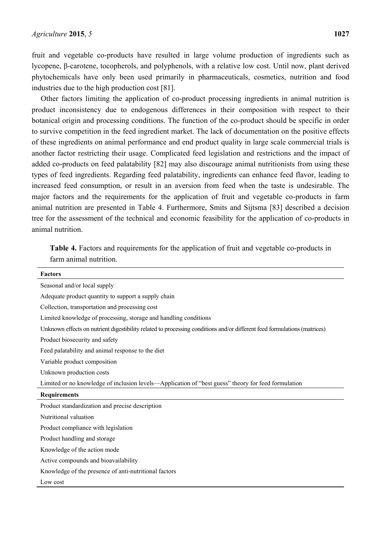fruit and vegetable co-products have resulted in large volume production of ingredients such as lycopene, β-carotene, tocopherols, and polyphenols, with a relative low cost. Until now, plant derived phytochemicals have only been used primarily in pharmaceuticals, cosmetics, nutrition and food industries due to the high production cost [81].

Other factors limiting the application of co-product processing ingredients in animal nutrition is product inconsistency due to endogenous differences in their composition with respect to their botanical origin and processing conditions. The function of the co-product should be specific in order to survive competition in the feed ingredient market. The lack of documentation on the positive effects of these ingredients on animal performance and end product quality in large scale commercial trials is another factor restricting their usage. Complicated feed legislation and restrictions and the impact of added co-products on feed palatability [82] may also discourage animal nutritionists from using these types of feed ingredients. Regarding feed palatability, ingredients can enhance feed flavor, leading to increased feed consumption, or result in an aversion from feed when the taste is undesirable. The major factors and the requirements for the application of fruit and vegetable co-products in farm animal nutrition are presented in Table 4. Furthermore, Smits and Sijtsma [83] described a decision tree for the assessment of the technical and economic feasibility for the application of co-products in animal nutrition.

**Table 4.** Factors and requirements for the application of fruit and vegetable co-products in farm animal nutrition.

| <b>Factors</b>                                                                                                           |
|--------------------------------------------------------------------------------------------------------------------------|
| Seasonal and/or local supply                                                                                             |
| Adequate product quantity to support a supply chain                                                                      |
| Collection, transportation and processing cost                                                                           |
| Limited knowledge of processing, storage and handling conditions                                                         |
| Unknown effects on nutrient digestibility related to processing conditions and/or different feed formulations (matrices) |
| Product biosecurity and safety                                                                                           |
| Feed palatability and animal response to the diet                                                                        |
| Variable product composition                                                                                             |
| Unknown production costs                                                                                                 |
| Limited or no knowledge of inclusion levels—Application of "best guess" theory for feed formulation                      |
| <b>Requirements</b>                                                                                                      |
| Product standardization and precise description                                                                          |
| Nutritional valuation                                                                                                    |
| Product compliance with legislation                                                                                      |
| Product handling and storage                                                                                             |
| Knowledge of the action mode                                                                                             |
| Active compounds and bioavailability                                                                                     |
| Knowledge of the presence of anti-nutritional factors                                                                    |
| Low cost                                                                                                                 |
|                                                                                                                          |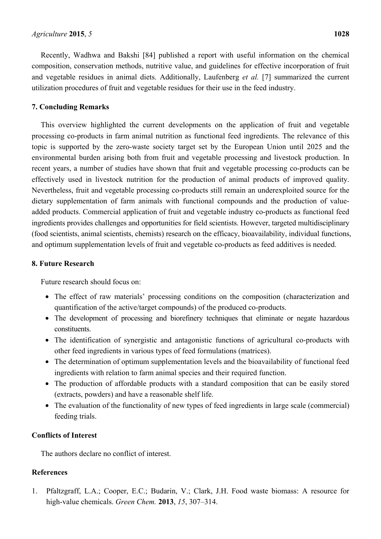Recently, Wadhwa and Bakshi [84] published a report with useful information on the chemical composition, conservation methods, nutritive value, and guidelines for effective incorporation of fruit and vegetable residues in animal diets. Additionally, Laufenberg *et al.* [7] summarized the current utilization procedures of fruit and vegetable residues for their use in the feed industry.

## **7. Concluding Remarks**

This overview highlighted the current developments on the application of fruit and vegetable processing co-products in farm animal nutrition as functional feed ingredients. The relevance of this topic is supported by the zero-waste society target set by the European Union until 2025 and the environmental burden arising both from fruit and vegetable processing and livestock production. In recent years, a number of studies have shown that fruit and vegetable processing co-products can be effectively used in livestock nutrition for the production of animal products of improved quality. Nevertheless, fruit and vegetable processing co-products still remain an underexploited source for the dietary supplementation of farm animals with functional compounds and the production of valueadded products. Commercial application of fruit and vegetable industry co-products as functional feed ingredients provides challenges and opportunities for field scientists. However, targeted multidisciplinary (food scientists, animal scientists, chemists) research on the efficacy, bioavailability, individual functions, and optimum supplementation levels of fruit and vegetable co-products as feed additives is needed.

## **8. Future Research**

Future research should focus on:

- The effect of raw materials' processing conditions on the composition (characterization and quantification of the active/target compounds) of the produced co-products.
- The development of processing and biorefinery techniques that eliminate or negate hazardous constituents.
- The identification of synergistic and antagonistic functions of agricultural co-products with other feed ingredients in various types of feed formulations (matrices).
- The determination of optimum supplementation levels and the bioavailability of functional feed ingredients with relation to farm animal species and their required function.
- The production of affordable products with a standard composition that can be easily stored (extracts, powders) and have a reasonable shelf life.
- The evaluation of the functionality of new types of feed ingredients in large scale (commercial) feeding trials.

## **Conflicts of Interest**

The authors declare no conflict of interest.

## **References**

1. Pfaltzgraff, L.A.; Cooper, E.C.; Budarin, V.; Clark, J.H. Food waste biomass: A resource for high-value chemicals. *Green Chem.* **2013**, *15*, 307–314.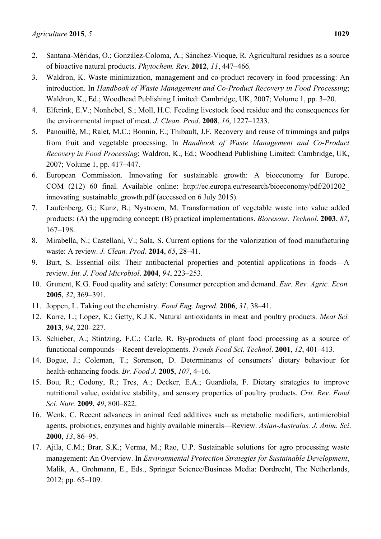- 2. Santana-Méridas, O.; González-Coloma, A.; Sánchez-Vioque, R. Agricultural residues as a source of bioactive natural products. *Phytochem. Rev*. **2012**, *11*, 447–466.
- 3. Waldron, K. Waste minimization, management and co-product recovery in food processing: An introduction. In *Handbook of Waste Management and Co-Product Recovery in Food Processing*; Waldron, K., Ed.; Woodhead Publishing Limited: Cambridge, UK, 2007; Volume 1, pp. 3–20.
- 4. Elferink, E.V.; Nonhebel, S.; Moll, H.C. Feeding livestock food residue and the consequences for the environmental impact of meat. *J. Clean. Prod*. **2008**, *16*, 1227–1233.
- 5. Panouillé, M.; Ralet, M.C.; Bonnin, E.; Thibault, J.F. Recovery and reuse of trimmings and pulps from fruit and vegetable processing. In *Handbook of Waste Management and Co-Product Recovery in Food Processing*; Waldron, K., Ed.; Woodhead Publishing Limited: Cambridge, UK, 2007; Volume 1, pp. 417–447.
- 6. European Commission. Innovating for sustainable growth: A bioeconomy for Europe. COM (212) 60 final. Available online: http://ec.europa.eu/research/bioeconomy/pdf/201202\_ innovating sustainable growth.pdf (accessed on 6 July 2015).
- 7. Laufenberg, G.; Kunz, B.; Nystroem, M. Transformation of vegetable waste into value added products: (A) the upgrading concept; (B) practical implementations. *Bioresour. Technol*. **2003**, *87*, 167–198.
- 8. Mirabella, N.; Castellani, V.; Sala, S. Current options for the valorization of food manufacturing waste: A review. *J. Clean. Prod.* **2014**, *65*, 28–41.
- 9. Burt, S. Essential oils: Their antibacterial properties and potential applications in foods—A review. *Int. J. Food Microbiol*. **2004**, *94*, 223–253.
- 10. Grunent, K.G. Food quality and safety: Consumer perception and demand. *Eur. Rev. Agric. Econ.* **2005**, *32*, 369–391.
- 11. Joppen, L. Taking out the chemistry. *Food Eng. Ingred.* **2006**, *31*, 38–41.
- 12. Karre, L.; Lopez, K.; Getty, K.J.K. Natural antioxidants in meat and poultry products. *Meat Sci.* **2013**, *94*, 220–227.
- 13. Schieber, A.; Stintzing, F.C.; Carle, R. By-products of plant food processing as a source of functional compounds—Recent developments. *Trends Food Sci. Technol*. **2001**, *12*, 401–413.
- 14. Bogue, J.; Coleman, T.; Sorenson, D. Determinants of consumers' dietary behaviour for health-enhancing foods. *Br. Food J.* **2005**, *107*, 4–16.
- 15. Bou, R.; Codony, R.; Tres, A.; Decker, E.A.; Guardiola, F. Dietary strategies to improve nutritional value, oxidative stability, and sensory properties of poultry products. *Crit. Rev. Food Sci. Nutr.* **2009**, *49*, 800–822.
- 16. Wenk, C. Recent advances in animal feed additives such as metabolic modifiers, antimicrobial agents, probiotics, enzymes and highly available minerals—Review. *Asian-Australas. J. Anim. Sci*. **2000**, *13*, 86–95.
- 17. Ajila, C.M.; Brar, S.K.; Verma, M.; Rao, U.P. Sustainable solutions for agro processing waste management: An Overview. In *Environmental Protection Strategies for Sustainable Development*, Malik, A., Grohmann, E., Eds., Springer Science/Business Media: Dordrecht, The Netherlands, 2012; pp. 65–109.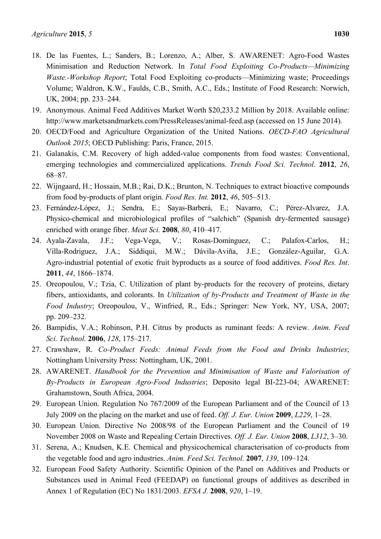- 18. De las Fuentes, L.; Sanders, B.; Lorenzo, A.; Alber, S. AWARENET: Agro-Food Wastes Minimisation and Reduction Network. In *Total Food Exploiting Co-Products—Minimizing Waste.-Workshop Report*; Total Food Exploiting co-products—Minimizing waste; Proceedings Volume; Waldron, K.W., Faulds, C.B., Smith, A.C., Eds.; Institute of Food Research: Norwich, UK, 2004; pp. 233–244.
- 19. Anonymous. Animal Feed Additives Market Worth \$20,233.2 Million by 2018. Available online: http://www.marketsandmarkets.com/PressReleases/animal-feed.asp (accessed on 15 June 2014).
- 20. OECD/Food and Agriculture Organization of the United Nations. *OECD-FAO Agricultural Outlook 2015*; OECD Publishing: Paris, France, 2015.
- 21. Galanakis, C.M. Recovery of high added-value components from food wastes: Conventional, emerging technologies and commercialized applications. *Trends Food Sci. Technol*. **2012**, *26*, 68–87.
- 22. Wijngaard, H.; Hossain, M.B.; Rai, D.K.; Brunton, N. Techniques to extract bioactive compounds from food by-products of plant origin. *Food Res. Int.* **2012**, *46*, 505–513.
- 23. Fernández-López, J.; Sendra, E.; Sayas-Barberá, E.; Navarro, C.; Pérez-Alvarez, J.A. Physico-chemical and microbiological profiles of "salchich" (Spanish dry-fermented sausage) enriched with orange fiber. *Meat Sci.* **2008**, *80*, 410–417.
- 24. Ayala-Zavala, J.F.; Vega-Vega, V.; Rosas-Domínguez, C.; Palafox-Carlos, H.; Villa-Rodriguez, J.A.; Siddiqui, M.W.; Dávila-Aviña, J.E.; González-Aguilar, G.A. Agro-industrial potential of exotic fruit byproducts as a source of food additives. *Food Res. Int*. **2011**, *44*, 1866–1874.
- 25. Oreopoulou, V.; Tzia, C. Utilization of plant by-products for the recovery of proteins, dietary fibers, antioxidants, and colorants. In *Utilization of by-Products and Treatment of Waste in the Food Industry*; Oreopoulou, V., Winfried, R., Eds.; Springer: New York, NY, USA, 2007; pp. 209–232.
- 26. Bampidis, V.A.; Robinson, P.H. Citrus by products as ruminant feeds: A review. *Anim. Feed Sci. Technol.* **2006**, *128*, 175–217.
- 27. Crawshaw, R. *Co-Product Feeds: Animal Feeds from the Food and Drinks Industries*; Nottingham University Press: Nottingham, UK, 2001.
- 28. AWARENET. *Handbook for the Prevention and Minimisation of Waste and Valorisation of By-Products in European Agro-Food Industries*; Deposito legal BI-223-04; AWARENET: Grahamstown, South Africa, 2004.
- 29. European Union. Regulation No 767/2009 of the European Parliament and of the Council of 13 July 2009 on the placing on the market and use of feed. *Off. J. Eur. Union* **2009**, *L229*, 1–28.
- 30. European Union. Directive No 2008/98 of the European Parliament and the Council of 19 November 2008 on Waste and Repealing Certain Directives. *Off. J. Eur. Union* **2008**, *L312*, 3–30.
- 31. Serena, A.; Knudsen, K.E. Chemical and physicochemical characterisation of co-products from the vegetable food and agro industries. *Anim. Feed Sci. Technol.* **2007**, *139*, 109–124.
- 32. European Food Safety Authority. Scientific Opinion of the Panel on Additives and Products or Substances used in Animal Feed (FEEDAP) on functional groups of additives as described in Annex 1 of Regulation (EC) No 1831/2003. *EFSA J.* **2008**, *920*, 1–19.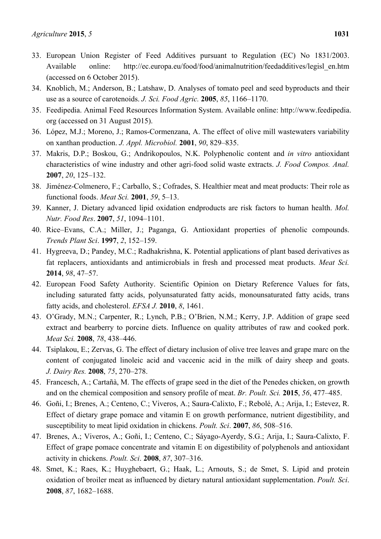- 33. European Union Register of Feed Additives pursuant to Regulation (EC) No 1831/2003. Available online: http://ec.europa.eu/food/food/animalnutrition/feedadditives/legisl\_en.htm (accessed on 6 October 2015).
- 34. Knoblich, M.; Anderson, B.; Latshaw, D. Analyses of tomato peel and seed byproducts and their use as a source of carotenoids. *J. Sci. Food Agric.* **2005**, *85*, 1166–1170.
- 35. Feedipedia. Animal Feed Resources Information System. Available online: http://www.feedipedia. org (accessed on 31 August 2015).
- 36. López, M.J.; Moreno, J.; Ramos-Cormenzana, A. The effect of olive mill wastewaters variability on xanthan production. *J. Appl. Microbiol.* **2001**, *90*, 829–835.
- 37. Makris, D.P.; Boskou, G.; Andrikopoulos, N.K. Polyphenolic content and *in vitro* antioxidant characteristics of wine industry and other agri-food solid waste extracts. *J. Food Compos. Anal.* **2007**, *20*, 125–132.
- 38. Jiménez-Colmenero, F.; Carballo, S.; Cofrades, S. Healthier meat and meat products: Their role as functional foods. *Meat Sci.* **2001**, *59*, 5–13.
- 39. Kanner, J. Dietary advanced lipid oxidation endproducts are risk factors to human health. *Mol. Nutr. Food Res*. **2007**, *51*, 1094–1101.
- 40. Rice–Evans, C.A.; Miller, J.; Paganga, G. Antioxidant properties of phenolic compounds. *Trends Plant Sci*. **1997**, *2*, 152–159.
- 41. Hygreeva, D.; Pandey, M.C.; Radhakrishna, K. Potential applications of plant based derivatives as fat replacers, antioxidants and antimicrobials in fresh and processed meat products. *Meat Sci.* **2014**, *98*, 47–57.
- 42. European Food Safety Authority. Scientific Opinion on Dietary Reference Values for fats, including saturated fatty acids, polyunsaturated fatty acids, monounsaturated fatty acids, trans fatty acids, and cholesterol. *EFSA J.* **2010**, *8*, 1461.
- 43. O'Grady, M.N.; Carpenter, R.; Lynch, P.B.; O'Brien, N.M.; Kerry, J.P. Addition of grape seed extract and bearberry to porcine diets. Influence on quality attributes of raw and cooked pork. *Meat Sci.* **2008**, *78*, 438–446.
- 44. Tsiplakou, E.; Zervas, G. The effect of dietary inclusion of olive tree leaves and grape marc on the content of conjugated linoleic acid and vaccenic acid in the milk of dairy sheep and goats. *J. Dairy Res.* **2008**, *75*, 270–278.
- 45. Francesch, A.; Cartañà, M. The effects of grape seed in the diet of the Penedes chicken, on growth and on the chemical composition and sensory profile of meat. *Br. Poult. Sci.* **2015**, *56*, 477–485.
- 46. Goñi, I.; Brenes, A.; Centeno, C.; Viveros, A.; Saura-Calixto, F.; Rebolé, A.; Arija, I.; Estevez, R. Effect of dietary grape pomace and vitamin E on growth performance, nutrient digestibility, and susceptibility to meat lipid oxidation in chickens. *Poult. Sci*. **2007**, *86*, 508–516.
- 47. Brenes, A.; Viveros, A.; Goñi, I.; Centeno, C.; Sáyago-Ayerdy, S.G.; Arija, I.; Saura-Calixto, F. Effect of grape pomace concentrate and vitamin E on digestibility of polyphenols and antioxidant activity in chickens. *Poult. Sci*. **2008**, *87*, 307–316.
- 48. Smet, K.; Raes, K.; Huyghebaert, G.; Haak, L.; Arnouts, S.; de Smet, S. Lipid and protein oxidation of broiler meat as influenced by dietary natural antioxidant supplementation. *Poult. Sci*. **2008**, *87*, 1682–1688.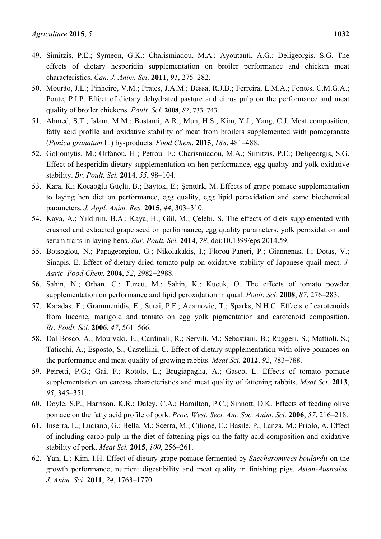- 49. Simitzis, P.E.; Symeon, G.K.; Charismiadou, M.A.; Ayoutanti, A.G.; Deligeorgis, S.G. The effects of dietary hesperidin supplementation on broiler performance and chicken meat characteristics. *Can. J. Anim. Sci*. **2011**, *91*, 275–282.
- 50. Mourão, J.L.; Pinheiro, V.M.; Prates, J.A.M.; Bessa, R.J.B.; Ferreira, L.M.A.; Fontes, C.M.G.A.; Ponte, P.I.P. Effect of dietary dehydrated pasture and citrus pulp on the performance and meat quality of broiler chickens. *Poult. Sci*. **2008**, *87*, 733–743.
- 51. Ahmed, S.T.; Islam, M.M.; Bostami, A.R.; Mun, H.S.; Kim, Y.J.; Yang, C.J. Meat composition, fatty acid profile and oxidative stability of meat from broilers supplemented with pomegranate (*Punica granatum* L.) by-products. *Food Chem*. **2015**, *188*, 481–488.
- 52. Goliomytis, M.; Orfanou, H.; Petrou. E.; Charismiadou, M.A.; Simitzis, P.E.; Deligeorgis, S.G. Effect of hesperidin dietary supplementation on hen performance, egg quality and yolk oxidative stability. *Br. Poult. Sci.* **2014**, *55*, 98–104.
- 53. Kara, K.; Kocaoğlu Güçlü, B.; Baytok, E.; Şentürk, M. Effects of grape pomace supplementation to laying hen diet on performance, egg quality, egg lipid peroxidation and some biochemical parameters. *J. Appl. Anim. Res.* **2015**, *44*, 303–310.
- 54. Kaya, A.; Yildirim, B.A.; Kaya, H.; Gül, M.; Çelebi, S. The effects of diets supplemented with crushed and extracted grape seed on performance, egg quality parameters, yolk peroxidation and serum traits in laying hens. *Eur. Poult. Sci.* **2014**, *78*, doi:10.1399/eps.2014.59.
- 55. Botsoglou, N.; Papageorgiou, G.; Nikolakakis, I.; Florou-Paneri, P.; Giannenas, I.; Dotas, V.; Sinapis, E. Effect of dietary dried tomato pulp on oxidative stability of Japanese quail meat. *J. Agric. Food Chem.* **2004**, *52*, 2982–2988.
- 56. Sahin, N.; Orhan, C.; Tuzcu, M.; Sahin, K.; Kucuk, O. The effects of tomato powder supplementation on performance and lipid peroxidation in quail. *Poult. Sci*. **2008**, *87*, 276–283.
- 57. Karadas, F.; Grammenidis, E.; Surai, P.F.; Acamovic, T.; Sparks, N.H.C. Effects of carotenoids from lucerne, marigold and tomato on egg yolk pigmentation and carotenoid composition. *Br. Poult. Sci.* **2006**, *47*, 561–566.
- 58. Dal Bosco, A.; Mourvaki, E.; Cardinali, R.; Servili, M.; Sebastiani, B.; Ruggeri, S.; Mattioli, S.; Taticchi, A.; Esposto, S.; Castellini, C. Effect of dietary supplementation with olive pomaces on the performance and meat quality of growing rabbits. *Meat Sci.* **2012**, *92*, 783–788.
- 59. Peiretti, P.G.; Gai, F.; Rotolo, L.; Brugiapaglia, A.; Gasco, L. Effects of tomato pomace supplementation on carcass characteristics and meat quality of fattening rabbits. *Meat Sci.* **2013**, *95*, 345–351.
- 60. Doyle, S.P.; Harrison, K.R.; Daley, C.A.; Hamilton, P.C.; Sinnott, D.K. Effects of feeding olive pomace on the fatty acid profile of pork. *Proc. West. Sect. Am. Soc. Anim. Sci.* **2006**, *57*, 216–218.
- 61. Inserra, L.; Luciano, G.; Bella, M.; Scerra, M.; Cilione, C.; Basile, P.; Lanza, M.; Priolo, A. Effect of including carob pulp in the diet of fattening pigs on the fatty acid composition and oxidative stability of pork. *Meat Sci.* **2015**, *100*, 256–261.
- 62. Yan, L.; Kim, I.H. Effect of dietary grape pomace fermented by *Saccharomyces boulardii* on the growth performance, nutrient digestibility and meat quality in finishing pigs. *Asian-Australas. J. Anim. Sci*. **2011**, *24*, 1763–1770.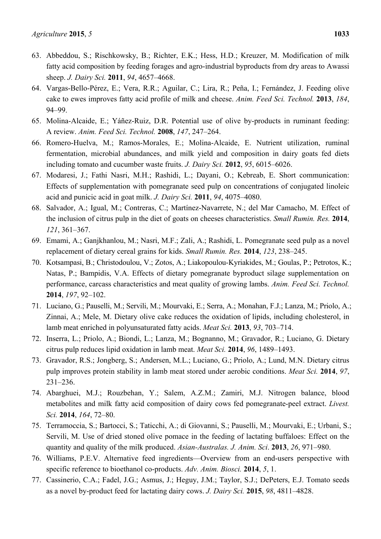- 63. Abbeddou, S.; Rischkowsky, B.; Richter, E.K.; Hess, H.D.; Kreuzer, M. Modification of milk fatty acid composition by feeding forages and agro-industrial byproducts from dry areas to Awassi sheep. *J. Dairy Sci.* **2011**, *94*, 4657–4668.
- 64. Vargas-Bello-Pérez, E.; Vera, R.R.; Aguilar, C.; Lira, R.; Peña, I.; Fernández, J. Feeding olive cake to ewes improves fatty acid profile of milk and cheese. *Anim. Feed Sci. Technol.* **2013**, *184*, 94–99.
- 65. Molina-Alcaide, E.; Yáñez-Ruiz, D.R. Potential use of olive by-products in ruminant feeding: A review. *Anim. Feed Sci. Technol.* **2008**, *147*, 247–264.
- 66. Romero-Huelva, M.; Ramos-Morales, E.; Molina-Alcaide, E. Nutrient utilization, ruminal fermentation, microbial abundances, and milk yield and composition in dairy goats fed diets including tomato and cucumber waste fruits. *J. Dairy Sci.* **2012**, *95*, 6015–6026.
- 67. Modaresi, J.; Fathi Nasri, M.H.; Rashidi, L.; Dayani, O.; Kebreab, E. Short communication: Effects of supplementation with pomegranate seed pulp on concentrations of conjugated linoleic acid and punicic acid in goat milk. *J. Dairy Sci.* **2011**, *94*, 4075–4080.
- 68. Salvador, A.; Igual, M.; Contreras, C.; Martínez-Navarrete, N.; del Mar Camacho, M. Effect of the inclusion of citrus pulp in the diet of goats on cheeses characteristics. *Small Rumin. Res.* **2014**, *121*, 361–367.
- 69. Emami, A.; Ganjkhanlou, M.; Nasri, M.F.; Zali, A.; Rashidi, L. Pomegranate seed pulp as a novel replacement of dietary cereal grains for kids. *Small Rumin. Res.* **2014**, *123*, 238–245.
- 70. Kotsampasi, B.; Christodoulou, V.; Zotos, A.; Liakopoulou-Kyriakides, M.; Goulas, P.; Petrotos, K.; Natas, P.; Bampidis, V.A. Effects of dietary pomegranate byproduct silage supplementation on performance, carcass characteristics and meat quality of growing lambs. *Anim. Feed Sci. Technol.* **2014**, *197*, 92–102.
- 71. Luciano, G.; Pauselli, M.; Servili, M.; Mourvaki, E.; Serra, A.; Monahan, F.J.; Lanza, M.; Priolo, A.; Zinnai, A.; Mele, M. Dietary olive cake reduces the oxidation of lipids, including cholesterol, in lamb meat enriched in polyunsaturated fatty acids. *Meat Sci.* **2013**, *93*, 703–714.
- 72. Inserra, L.; Priolo, A.; Biondi, L.; Lanza, M.; Bognanno, M.; Gravador, R.; Luciano, G. Dietary citrus pulp reduces lipid oxidation in lamb meat. *Meat Sci.* **2014**, *96*, 1489–1493.
- 73. Gravador, R.S.; Jongberg, S.; Andersen, M.L.; Luciano, G.; Priolo, A.; Lund, M.N. Dietary citrus pulp improves protein stability in lamb meat stored under aerobic conditions. *Meat Sci.* **2014**, *97*, 231–236.
- 74. Abarghuei, M.J.; Rouzbehan, Y.; Salem, A.Z.M.; Zamiri, M.J. Nitrogen balance, blood metabolites and milk fatty acid composition of dairy cows fed pomegranate-peel extract. *Livest. Sci.* **2014**, *164*, 72–80.
- 75. Terramoccia, S.; Bartocci, S.; Taticchi, A.; di Giovanni, S.; Pauselli, M.; Mourvaki, E.; Urbani, S.; Servili, M. Use of dried stoned olive pomace in the feeding of lactating buffaloes: Effect on the quantity and quality of the milk produced. *Asian-Australas. J. Anim. Sci*. **2013**, *26*, 971–980.
- 76. Williams, P.E.V. Alternative feed ingredients—Overview from an end-users perspective with specific reference to bioethanol co-products. *Adv. Anim. Biosci.* **2014**, *5*, 1.
- 77. Cassinerio, C.A.; Fadel, J.G.; Asmus, J.; Heguy, J.M.; Taylor, S.J.; DePeters, E.J. Tomato seeds as a novel by-product feed for lactating dairy cows. *J. Dairy Sci.* **2015**, *98*, 4811–4828.